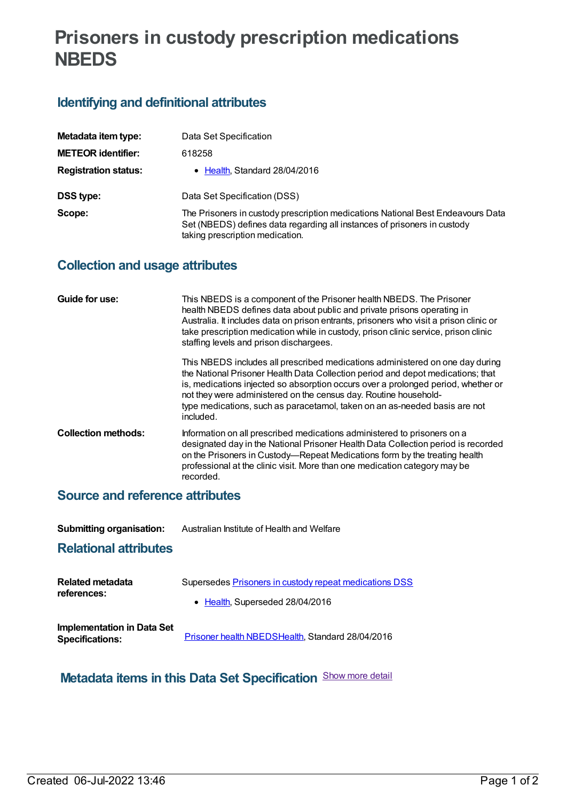# **Prisoners in custody prescription medications NBEDS**

## **Identifying and definitional attributes**

| Metadata item type:         | Data Set Specification                                                                                                                                                                         |
|-----------------------------|------------------------------------------------------------------------------------------------------------------------------------------------------------------------------------------------|
| <b>METEOR identifier:</b>   | 618258                                                                                                                                                                                         |
| <b>Registration status:</b> | Health, Standard 28/04/2016                                                                                                                                                                    |
| <b>DSS type:</b>            | Data Set Specification (DSS)                                                                                                                                                                   |
| Scope:                      | The Prisoners in custody prescription medications National Best Endeavours Data<br>Set (NBEDS) defines data regarding all instances of prisoners in custody<br>taking prescription medication. |

### **Collection and usage attributes**

| Guide for use:             | This NBEDS is a component of the Prisoner health NBEDS. The Prisoner<br>health NBEDS defines data about public and private prisons operating in<br>Australia. It includes data on prison entrants, prisoners who visit a prison clinic or<br>take prescription medication while in custody, prison clinic service, prison clinic<br>staffing levels and prison dischargees.                                          |
|----------------------------|----------------------------------------------------------------------------------------------------------------------------------------------------------------------------------------------------------------------------------------------------------------------------------------------------------------------------------------------------------------------------------------------------------------------|
|                            | This NBEDS includes all prescribed medications administered on one day during<br>the National Prisoner Health Data Collection period and depot medications; that<br>is, medications injected so absorption occurs over a prolonged period, whether or<br>not they were administered on the census day. Routine household-<br>type medications, such as paracetamol, taken on an as-needed basis are not<br>included. |
| <b>Collection methods:</b> | Information on all prescribed medications administered to prisoners on a<br>designated day in the National Prisoner Health Data Collection period is recorded<br>on the Prisoners in Custody—Repeat Medications form by the treating health<br>professional at the clinic visit. More than one medication category may be<br>recorded.                                                                               |

#### **Source and reference attributes**

| <b>Submitting organisation:</b> | Australian Institute of Health and Welfare |
|---------------------------------|--------------------------------------------|
|---------------------------------|--------------------------------------------|

#### **Relational attributes**

| Related metadata                                            | Supersedes Prisoners in custody repeat medications DSS |
|-------------------------------------------------------------|--------------------------------------------------------|
| references:                                                 | • Health, Superseded 28/04/2016                        |
| <b>Implementation in Data Set</b><br><b>Specifications:</b> | Prisoner health NBEDSHealth, Standard 28/04/2016       |

# **Metadata items in this Data Set Specification** Show more detail